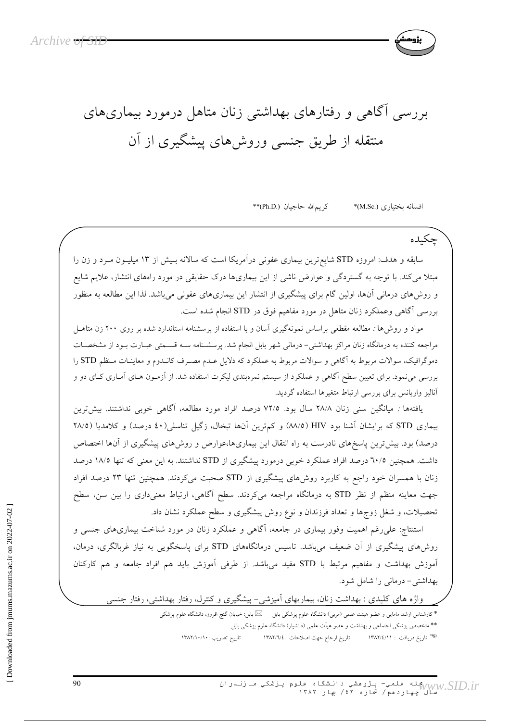بررسی آگاهی و رفتارهای بهداشتی زنان متاهل درمورد بیماریهای

منتقله از طریق جنسی وروش های پیشگیری از آن

کر یہ اللہ حاجیان (.Ph.D)\*\* افسانه بختياري (M.Sc.)\*

حكىده

سابقه و هدف: امروزه STD شایع ترین بیماری عفونی درآمریکا است که سالانه بـیش از ۱۳ میلیـون مـرد و زن را مبتلا می کند. با توجه به گستردگی و عوارض ناشی از این بیماریها درک حقایقی در مورد راههای انتشار، علایم شایع و روش۵ای درمانی آنها، اولین گام برای پیشگیری از انتشار این بیماریهای عفونی میباشد. لذا این مطالعه به منظور بررسی آگاهی وعملکرد زنان متاهل در مورد مفاهیم فوق در STD انجام شده است.

مواد و روش۵ا : مطالعه مقطعی براساس نمونهگیری آسان و با استفاده از پرسشنامه استاندارد شده بر روی ۲۰۰ زن متاهـل مراجعه کننده به درمانگاه زنان مراکز بهداشتی- درمانی شهر بابل انجام شد. پرسشـنامه سـه قسـمتی عبـارت بـود از مشخصـات دموگرافیک، سوالات مربوط به آگاهی و سوالات مربوط به عملکرد که دلایل عـدم مصـرف کانـدوم و معاینـات مـنظم STD را بررسی می نمود. برای تعیین سطح آگاهی و عملکرد از سیستم نمرهبندی لیکرت استفاده شد. از آزمـون هـای آمـاری کـای دو و آنالیز واریانس برای بررسی ارتباط متغیرها استفاده گردید.

یافتهها : میانگین سنی زنان ۲۸/۸ سال بود. ۷۲/۵ درصد افراد مورد مطالعه، آگاهی خوبی نداشتند. بیشترین بیماری STD که برایشان آشنا بود HIV (٨٨/٥) و کم ترین آنها تبخال، زگیل تناسلی(٤٠ درصد) و کلامدیا (٢٨/٥ درصد) بود. بیشترین پاسخهای نادرست به راه انتقال این بیماریها،عوارض و روشهای پیشگیری از آنها اختصاص داشت. همچنین ۲۰/۵ درصد افراد عملکرد خوبی درمورد پیشگیری از STD نداشتند. به این معنی که تنها ۱۸/۵ درصد زنان با همسران خود راجع به کاربرد روشهای پیشگیری از STD صحبت میکردند. همچنین تنها ۲۳ درصد افراد جهت معاینه منظم از نظر STD به درمانگاه مراجعه میکردند. سطح آگاهی، ارتباط معنیداری را بین سن، سطح تحصیلات، و شغل زوجها و تعداد فرزندان و نوع روش پیشگیری و سطح عملکرد نشان داد.

استنتاج: علی رغم اهمیت وفور بیماری در جامعه، آگاهی و عملکرد زنان در مورد شناخت بیماریهای جنسی و روشهای پیشگیری از آن ضعیف میباشد. تاسیس درمانگاههای STD برای پاسخگویی به نیاز غربالگری، درمان، آموزش بهداشت و مفاهیم مرتبط با STD مفید میباشد. از طرفی آموزش باید هم افراد جامعه و هم کارکنان بهداشتی- درمانی را شامل شود.

واژه های کلیدی : بهداشت زنان، بیماریهای اَمیزشی– پیشگیری و کنترل، رفتار بهداشتی، رفتار جنسو

\* کارشناس ارشد مامایی و عضو هیئت علمی (مربی) دانشگاه علوم یزشکی بابل ⊠ بابل: خیابان گنج افروز، دانشگاه علوم یزشکی \*\* متخصص پزشکی اجتماعی و بهداشت و عضو هیأت علمی (دانشیار) دانشگاه علوم پزشکی بابل <sup>75</sup> تاریخ دریافت : ۱۳۸۲/٤/۱۱ تاریخ ارجاع جهت اصلاحات : ۱۳۸۲/۷۶ تاريح تصويب :١٣٨٢/١٠/١٠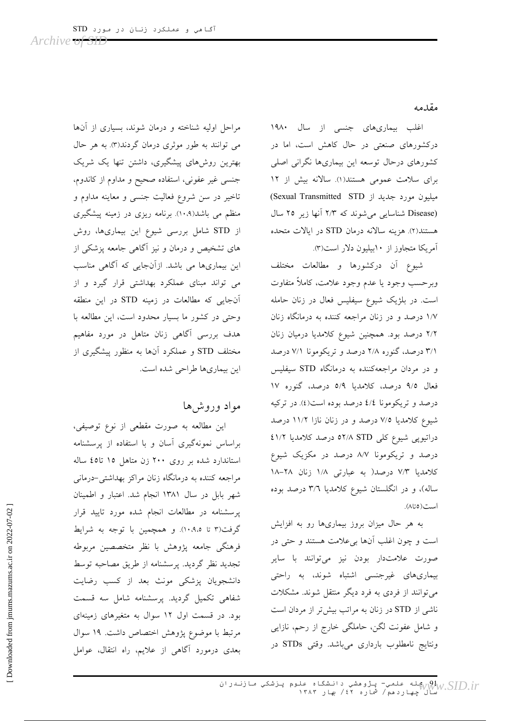مقدمه

اغلب بیماریهای جنسی از سال ۱۹۸۰ درکشورهای صنعتی در حال کاهش است، اما در کشورهای درحال توسعه این بیماریها نگرانی اصلی برای سلامت عمومی هستند(۱). سالانه بیش از ۱۲ Osexual Transmitted STD امیلیون مورد جدید از (Disease شناسایی می شوند که ۲/۳ آنها زیر ۲۵ سال هستند(۲). هزینه سالانه درمان STD در ایالات متحده آمريكا متجاوز از ١٠بيليون دلار است(٣).

شیوع آن درکشورها و مطالعات مختلف وبرحسب وجود يا عدم وجود علامت، كاملاً متفاوت است. در بلژیک شیوع سیفلیس فعال در زنان حامله ١/٧ درصد و در زنان مراجعه كننده به درمانگاه زنان ٢/٢ درصد بود. همچنین شیوع کلامدیا درمیان زنان ۳/۱ درصد، گنوره ۲/۸ درصد و تریکومونا ۷/۱ درصد و در مردان مراجعهکننده به درمانگاه STD سیفلیس فعال ٩/٥ درصد، كلامديا ٥/٩ درصد، گنوره ١٧ درصد و تریکومونا ٤/٤ درصد بوده است(٤). در ترکیه شیوع کلامدیا ۷/۵ درصد و در زنان نازا ۱۱/۲ درصد دراتیوپی شیوع کلی ۵۲/۸ STD درصد کلامدیا ٤١/٢ درصد و تریکومونا ۸/۷ درصد در مکزیک شیوع كلامديا ٧/٣ درصد( به عبارتي ١/٨ زنان ٢٨-١٨ ساله)، و در انگلستان شیوع کلامدیا ۳/٦ درصد بوده است (٥تا٨).

به هر حال میزان بروز بیماریها رو به افزایش است و چون اغلب آنها بی علامت هستند و حتی در صورت علامتدار بودن نيز مي توانند با ساير بیماریهای غیرجنسی اشتباه شوند، به راحتی می توانند از فردی به فرد دیگر منتقل شوند. مشکلات ناشی از STD در زنان به مراتب بیشتر از مردان است و شامل عفونت لگن، حاملگی خارج از رحم، نازایی ونتايج نامطلوب بارداري مي باشد. وقتى STDs در

مراحل اولیه شناخته و درمان شوند، بسیاری از آنها می توانند به طور موثری درمان گردند(۳) به هر حال بهترین روشهای پیشگیری، داشتن تنها یک شریک جنسی غیر عفونی، استفاده صحیح و مداوم از کاندوم، تاخیر در سن شروع فعالیت جنسی و معاینه مداوم و منظم می باشد(۱۰،۹). برنامه ریزی در زمینه پیشگیری از STD شامل بررسی شیوع این بیماریها، روش های تشخیص و درمان و نیز آگاهی جامعه پزشکی از این بیماریها می باشد. ازآنجایی که آگاهی مناسب می تواند مبنای عملکرد بهداشتی قرار گیرد و از آنجایی که مطالعات در زمینه STD در این منطقه وحتى در كشور ما بسيار محدود است، اين مطالعه با هدف بررسی آگاهی زنان متاهل در مورد مفاهیم مختلف STD و عملکرد آنها به منظور پیشگیری از این بیماریها طراحی شده است.

## مواد وروش ها

این مطالعه به صورت مقطعی از نوع توصیفی، براساس نمونهگیری آسان و با استفاده از پرسشنامه استاندارد شده بر روی ۲۰۰ زن متاهل ۱۵ تا٤۵ ساله مراجعه کننده به درمانگاه زنان مراکز بهداشتی-درمانی شهر بابل در سال ۱۳۸۱ انجام شد. اعتبار و اطمينان پرسشنامه در مطالعات انجام شده مورد تاييد قرار گرفت(۳ تا ۱۰٬۹،۵). و همچمین با توجه به شرایط فرهنگی جامعه پژوهش با نظر متخصصین مربوطه تجدید نظر گردید. پرسشنامه از طریق مصاحبه توسط دانشجویان پزشکی مونث بعد از کسب رضایت شفاهی تکمیل گردید. پرسشنامه شامل سه قسمت بود. در قسمت اول ١٢ سوال به متغيرهاي زمينهاي مرتبط با موضوع يژوهش اختصاص داشت. ١٩ سوال بعدي درمورد آگاهي از علايم، راه انتقال، عوامل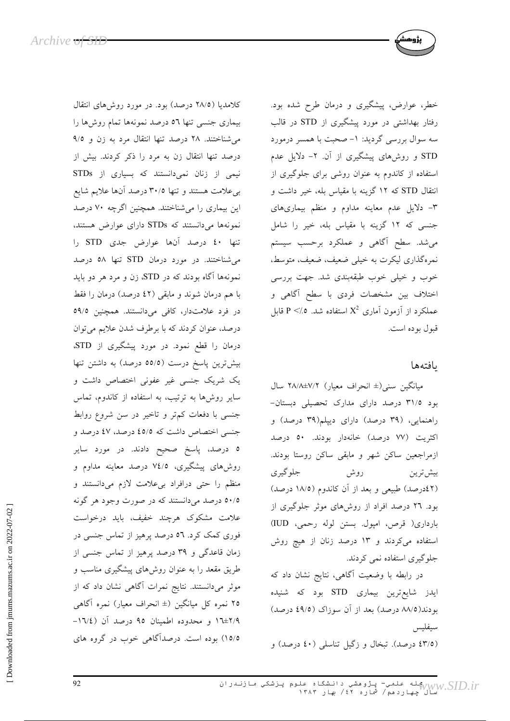کلامدیا (٢٨/٥ درصد) بود. در مورد روشهای انتقال بیماری جنسی تنها ٥٦ درصد نمونهها تمام روشها را می شناختند. ۲۸ درصد تنها انتقال مرد به زن و ۹/۵ درصد تنها انتقال زن به مرد را ذکر کردند. بیش از نیمی از زنان نمی دانستند که بسیاری از STDs بی علامت هستند و تنها ۳۰/۵ درصد آنها علایم شایع این بیماری را می شناختند. همچنین اگرچه ۷۰ درصد نمونهها میدانستند که STDs دارای عوارض هستند، تنها ٤٠ درصد آنها عوارض جدى STD را می شناختند. در مورد درمان STD تنها ۵۸ درصد نمونهها آگاه بودند که در STD، زن و مرد هر دو باید با هم درمان شوند و مابقی (٤٢ درصد) درمان را فقط در فرد علامتدار، کافی میدانستند. همچنین ٥٩/٥ درصد، عنوان کردند که با برطرف شدن علایم میتوان درمان را قطع نمود. در مورد پیشگیری از STD، بیشتررین پاسخ درست (٥٥/٥ درصد) به داشتن تنها یک شریک جنسی غیر عفونی اختصاص داشت و سایر روشها به ترتیب، به استفاده از کاندوم، تماس جنسی با دفعات کم تر و تاخیر در سن شروع روابط جنسی اختصاص داشت که ٤٥/٥ درصد، ٤٧ درصد و ٥ درصد، پاسخ صحيح دادند. در مورد ساير روشهای پیشگیری، ۷٤/٥ درصد معاینه مداوم و منظم را حتى درافراد بى علامت لازم مى دانستند و ٥٠/٥ درصد میدانستند که در صورت وجود هر گونه علامت مشکوک هرچند خفیف، باید درخواست فوری کمک کرد. ٥٦ درصد پرهيز از تماس جنسي در زمان قاعدگی و ۳۹ درصد پرهیز از تماس جنسی از طریق مقعد را به عنوان روشهای پیشگیری مناسب و موثر میدانستند. نتایج نمرات آگاهی نشان داد که از ۲۵ نمره کل میانگین (± انحراف معیار) نمره آگاهی ٢/٩±١٦ و محدوده اطمينان ٩٥ درصد آن (١٦/٤-١٥/٥) بوده است. درصدآگاهی خوب در گروه های

خطر، عوارض، پیشگیری و درمان طرح شده بود. رفتار بهداشتی در مورد پیشگیری از STD در قالب سه سوال بررسی گردید: ١- صحبت با همسر درمورد STD و روشهای پیشگیری از آن. ۲- دلایل عدم استفاده از کاندوم به عنوان روشی برای جلوگیری از انتقال STD که ۱۲ گزینه با مقیاس بله، خیر داشت و ٣- دلایل عدم معاینه مداوم و منظم بیماریهای جنسی که ۱۲ گزینه با مقیاس بله، خیر را شامل میشد. سطح آگاهی و عملکرد برحسب سیستم نمرهگذاری لیکرت به خیلی ضعیف، ضعیف، متوسط، خوب و خیلی خوب طبقهبندی شد. جهت بررسی اختلاف بين مشخصات فردي با سطح آگاهي و عملکرد از آزمون آماری  $\mathrm{X}^2$  استفاده شد. ۵٪> P قابل قبول بوده است.

## بافتهها

میانگین سنی(± انحراف معیار) ۲۸/۸±۷/۲ سال بود ۳۱/۵ درصد دارای مدارک تحصیلی دبستان-راهنمایی، (۳۹ درصد) دارای دیپلم(۳۹ درصد) و اكثريت (٧٧ درصد) خانهدار بودند. ٥٠ درصد ازمراجعین ساکن شهر و مابقی ساکن روستا بودند. جلوگيري روش بيش ترين (٤٢درصد) طبيعي و بعد از آن كاندوم (١٨/٥ درصد) بود. ۲٦ درصد افراد از روشهای موثر جلوگیری از بارداري( قرص، امپول. بستن لوله رحمي، IUD) استفاده میکردند و ١٣ درصد زنان از هيچ روش جلوگیری استفاده نمی کردند.

در رابطه با وضعیت آگاهی، نتایج نشان داد که ایدز شایع ترین بیماری STD بود که شنیده بودند(٨٨/٥ درصد) بعد از آن سوزاک (٤٩/٥ درصد) سيفليس

(٤٣/٥ درصد). تبخال و زگيل تناسلي (٤٠ درصد) و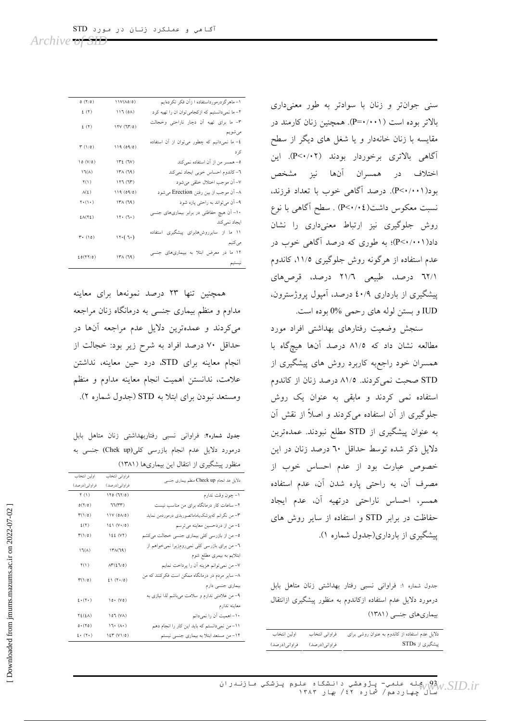سنی جوانتر و زنان با سوادتر به طور معنیداری بالاتر بوده است (P=٠/٠٠١). همچنین زنان کارمند در مقایسه با زنان خانهدار و یا شغل های دیگر از سطح آگاهی بالاتری برخوردار بودند (P<۰/۰۲). این اختلاف در همسران آنها نیز مشخص بود(P<۰/۰۰۱). درصد آگاهی خوب با تعداد فرزند، نسبت معكوس داشت(١٠٤-٩٧) . سطح أگاهي با نوع روش جلوگیری نیز ارتباط معنیداری را نشان داد( ( - ۰/ ۰۲)؛ به طوری که درصد آگاهی خوب در عدم استفاده از هرگونه روش جلوگیری ۱۱/۵، کاندوم ٦٢/١ درصد، طبيعي ٢١/٦ درصد، قرصهاى پیشگیری از بارداری ٤٠/٩ درصد، آمپول پروژسترون، IUD و بستن لوله های رحمی %0 بوده است.

سنجش وضعيت رفتارهاى بهداشتى افراد مورد مطالعه نشان داد که ٨١/٥ درصد آنها هیچگاه با همسران خود راجعبه کاربرد روش های پیشگیری از STD صحبت نمی کردند. ۸۱/۵ درصد زنان از کاندوم استفاده نمی کردند و مابقی به عنوان یک روش جلوگیری از آن استفاده میکردند و اصلاً از نقش آن به عنوان پیشگیری از STD مطلع نبودند. عمدهترین دلایل ذکر شده توسط حداقل ٦٠ درصد زنان در این خصوص عبارت بود از عدم احساس خوب از مصرف آن، به راحتى ياره شدن آن، عدم استفاده همسر، احساس ناراحتی درتهیه آن، عدم ایجاد حفاظت در برابر STD و استفاده از سایر روش های پیشگیری از بارداری(جدول شماره ۱).

جدول شماره ١: فراواني نسبي رفتار بهداشتي زنان متاهل بابل درمورد دلایل عدم استفاده ازکاندوم به منظور پیشگیری ازانتقال بیماریهای جنسی (۱۳۸۱)

| اولين انتخاب  | فراواني انتخاب | دلایل عدم استفاده از کاندوم به عنوان روشی برای |
|---------------|----------------|------------------------------------------------|
| فراواني(درصد) | فراواني(درصد)  | پیشگیري از STDs                                |

| ۱- ماهرگزدرمورداستفاده ا زأن فکر نکردهایم                 | $11V(\Lambda_0/0)$                                                        | O(Y/O)                                                       |
|-----------------------------------------------------------|---------------------------------------------------------------------------|--------------------------------------------------------------|
| ۲- ما نمیدانستیم که ازکجامیتوان ان را تهیه کرد            | $\left( \Lambda \right)$ $\mathcal{T}$ ( $\Lambda$ )                      | $\mathfrak{t}$ $(\mathfrak{t})$                              |
| ۳- ما برای تهیه آن دچار ناراحتی وخجالت<br>مىشويم          | $\begin{array}{c} \text{17V (T70)} \end{array}$                           | E(Y)                                                         |
| ٤– ما نمىدانيم كه چطور مىتوان از آن استفاده<br>کر د       | 119(09/0)                                                                 | $\mathsf{r}\left(\frac{1}{0}\right)$                         |
| ٥- همسر من از آن استفاده نمي كند                          | $\ensuremath{\mathsf{IFL}}\xspace$<br>$(\ensuremath{\mathsf{TV}}\xspace)$ | $\circ$ $(V/\circ)$                                          |
| ٦- كاندوم احساس خوبي ايجاد نميكند                         | $(17)$ $\wedge$ 71                                                        | $17(\Lambda)$                                                |
| ٧- اَن موجب اختلال خلقي مي شود                            | $(11)$ $11$                                                               | $\Upsilon(1)$                                                |
| ۸– اَن موجب از بین رفتن Erection میشود                    | 119(09/0)                                                                 | $\Lambda(\mathfrak{t}\,)$                                    |
| ۹– آن میتواند به راحتی پاره شود                           | $(17)$ $(19)$                                                             | $\mathfrak{r}\mathfrak{\cdot}(\mathfrak{l}\mathfrak{\cdot})$ |
| ۱۰– آن هیچ حفاظتی در برابر بیماریهای جنسی<br>ايجاد نمىكند | $(17)$ $(7)$                                                              | $\Sigma(\Upsilon)$                                           |
| ۱۱ ما از سایرروشهابرای پیشگیری استفاده                    | $11 \cdot (7)$                                                            | $\mathsf{r}$ . (10)                                          |
| ميكنيم<br>۱۲ ما در معرض ابتلا به بییماریهای جنسی          | $17\Lambda$ (19)                                                          | to(77/0)                                                     |
| نيستيم                                                    |                                                                           |                                                              |

همچنین تنها ۲۳ درصد نمونهها برای معاینه مداوم و منظم بیماری جنسی به درمانگاه زنان مراجعه می کردند و عمدهترین دلایل عدم مراجعه آنها در حداقل ۷۰ درصد افراد به شرح زیر بود: خجالت از انجام معاينه براي STD، درد حين معاينه، نداشتن علامت، ندانستن اهميت انجام معاينه مداوم و منظم ومستعد نبودن برای ابتلا به STD (جدول شماره ۲).

جدول شماره٢: فراوانی نسبی رفتاربهداشتی زنان متاهل بابل درمورد دلایل عدم انجام بازرسی کلی(Chek up) جنسی به منظور پیشگیری از انتقال این بیماریها (۱۳۸۱)

| دلایل عد انجام Check up منظم بیماری جنسی        | فراوانى انتخاب                                          | اولين انتخاب                                                                                                 |
|-------------------------------------------------|---------------------------------------------------------|--------------------------------------------------------------------------------------------------------------|
|                                                 | فراواني(درصد)                                           | فراواني(درصد)                                                                                                |
| ۱– چون وقت ندارم                                | 170 (717)                                               | $\mathbf{Y}\left( \mathbf{Y}\right)$                                                                         |
| ۲- ساعات کار درمانگاه برای من مناسب نیست        | 77(TT)                                                  | $\mathfrak{o}(\mathbf{Y}/\mathfrak{o})$                                                                      |
| ۳– من نگرانم کهپزشکیاماماتصوربدی درموردمن نماید | $\hbox{1V (0A/0)}$                                      | $\Upsilon(1/\mathfrak{o})$                                                                                   |
| ٤- من از دردحسین معاینه میترسم                  | $\lambda \circ (\lambda \cdot \lambda \circ \lambda)$   | $\mathfrak{t}(\mathbf{Y})$                                                                                   |
| ٥- من از بازرسی کلی بیماری جنسی خجالت میکشم     | $\backslash\mathop{\mathcal{E}}\nolimits$ (VT)          | $\mathsf{r}(\mathsf{1}/\mathfrak{o})$                                                                        |
| ٦- من براي بازرسي كلي نمي٫ومزيرا نميخواهم از    | $17\Lambda(79)$                                         | $17(\lambda)$                                                                                                |
| ابتلایم به بیمری مطلع شوم                       |                                                         |                                                                                                              |
| ٧– من نمیتوانم هزینه آن را پرداخت نمایم         | $\Lambda \mathsf{M}(\mathfrak{t} \mathbb{V})$           | $\mathsf{Y}(1)$                                                                                              |
| ۸- سایر مردم در درمانگاه ممکن است فکرکنند که من | $\mathfrak{t}\setminus(\mathfrak{k}\cdot/\mathfrak{o})$ | $\mathsf{r}(\mathsf{1}/\mathfrak{o})$                                                                        |
| بیماری جنسی دارم                                |                                                         |                                                                                                              |
| ۹– من علامتی ندارم و سلامت میباشم لذا نیازی به  | $\backslash \circ \cdot \ (\lor \circ)$                 | $\mathfrak{t}\cdot(\mathbf{Y}\cdot)$                                                                         |
| معاينه ندارم                                    |                                                         |                                                                                                              |
| ۱۰– اهمیت آن را نمیدانم                         | $\backslash\mathfrak{so}(\forall\lambda)$               | $\mathbf{Y} \mathbf{\mathbf{\mathcal{E}}} \left( \mathbf{\mathbf{\mathcal{E}}} \boldsymbol{\Lambda} \right)$ |
| ١١- من نميدانستم كه بايد اين كار را انجام دهم   | $(\lambda)$ $\cdot$ $\wedge$                            | $\mathfrak{o}\cdot(\mathbf{Y}\mathfrak{o})$                                                                  |
| ١٢- من مستعد ابتلا به بيماري جنسي نيستم         | $\lambda \mathfrak{t} \mathfrak{r}$ (V $\lambda$ )      | $\mathbf{\hat{z}}\cdot(\mathbf{Y}\cdot)$                                                                     |
|                                                 |                                                         |                                                                                                              |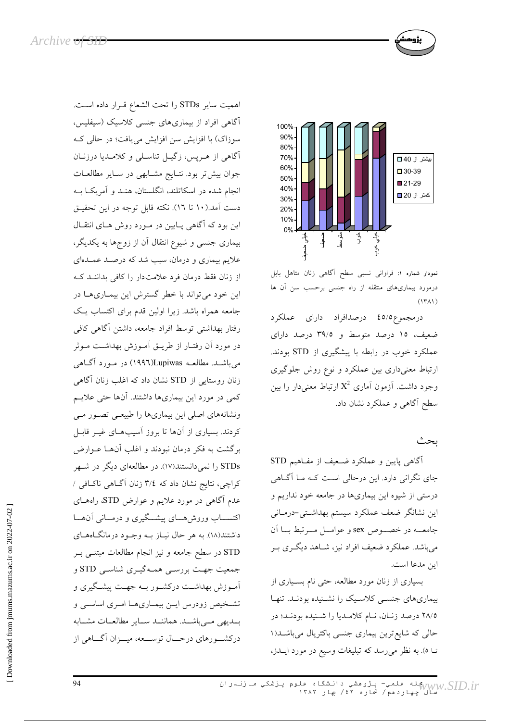

نمودار شماره ۱: فراوانی نسبی سطح آگاهی زنان متاهل بابل درمورد بیماریهای منتقله از راه جنسی برحسب سن آن ها  $(1T\Lambda)$ 

درمجموع 20/0 درصدافراد داراي عملكرد ضعیف، ١٥ درصد متوسط و ٣٩/٥ درصد دارای عملکرد خوب در رابطه با پیشگیری از STD بودند. ارتباط معنی داری بین عملکرد و نوع روش جلوگیری وجود داشت. آزمون آماری  $\text{X}^2$  ارتباط معنیدار را بین سطح آگاهی و عملکرد نشان داد.

ىحث

آگاهی پایین و عملکرد ضعیف از مفـاهیم STD جای نگرانی دارد. این درحالی است کـه مـا آگــاهی درستی از شیوه این بیماریها در جامعه خود نداریم و این نشانگر ضعف عملکرد سیستم بهداشتی-درمـانی جامعــه در خصــوص sex و عوامــل مــرتبط بـــا آن مي باشد. عملكرد ضعيف افراد نيز، شــاهد ديگــري بــر اين مدعا است.

بسیاری از زنان مورد مطالعه، حتی نام بسـیاری از بیماریهای جنسبی کلاسیک را نشـنیده بودنـد. تنهـا ٢٨/٥ درصد زنان، نام كلامـديا را شـنيده بودنـد؛ در حالی که شایع ترین بیماری جنسی باکتریال میباشد(۱ تـا ٥). به نظر مىرسد كه تبليغات وسيع در مورد ايــدز،

اهميت ساير STDs را تحت الشعاع قـرار داده اسـت. آگاهی افراد از بیماریهای جنسی کلاسیک (سیفلیس، سوزاک) با افزایش سن افزایش می یافت؛ در حالی ک آگاهی از هـرپس، زگیـل تناسـلی و کلامـدیا درزنـان جوان بیش تر بود. نتـایج مشـابهی در سـایر مطالعـات انجام شده در اسکاتلند، انگلستان، هنـد و آمريکــا بــه دست آمد.(١٠ تا ١٦). نكته قابل توجه در اين تحقيـق این بود که آگاهی پـایین در مـورد روش هـای انتقـال بیماری جنسی و شیوع انتقال آن از زوجها به یکدیگر، علایم بیماری و درمان، سبب شد که درصـد عمـدهای از زنان فقط درمان فرد علامتدار را كافي بداننـد كـه این خود می تواند با خطر گسترش این بیمـاریهـا در جامعه همراه باشد. زیرا اولین قدم برای اکتساب یک رفتار بهداشتى توسط افراد جامعه، داشتن آگاهى كافى در مورد آن رفتـار از طريــق آمــوزش بهداشــت مــوثر مي باشـد. مطالعـه Lupiwas(١٩٩٦) در مـورد آگـاهي زنان روستایی از STD نشان داد که اغلب زنان آگاهی کمی در مورد این بیماریها داشتند. آنها حتی علایـم ونشانههای اصلی این بیماریها را طبیعی تصور می کردند. بسیاری از آنها تا بروز آسیبهـای غیـر قابـل برگشت به فکر درمان نبودند و اغلب آنهـا عــوارض STDs را نمیدانستند(۱۷). در مطالعهای دیگر در شهر کراچی، نتایج نشان داد که ۳/٤ زنان آگاهی ناکافی / عدم آگاهی در مورد علایم و عوارض STD، راههـای اکتســاب وروشهـــای پیشــگیری و درمــانی آنهــا داشتند(۱۸) به هر حال نیـاز بــه وجـود درمانگــاههــای STD در سطح جامعه و نیز انجام مطالعات مبتنـی بـر جمعیت جهـت بررســي همــهگیــری شناســي STD و آمــوزش بهداشــت دركشــور بــه جهــت پیشــگیری و تشخیص زودرس ایـن بیمـاریهـا امـری اساسـی و بسديهي مسي باشسد. هماننسد سساير مطالعسات مشسابه درکشـــورهای درحـــال توســـعه، میـــزان آگـــاهی از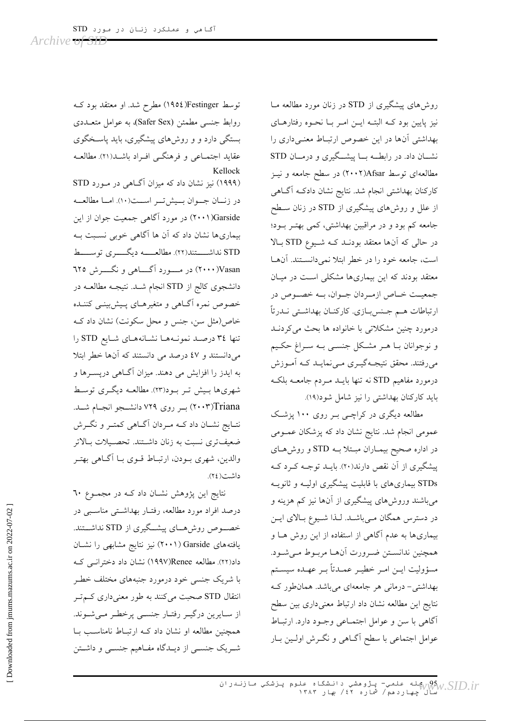روشهای پیشگیری از STD در زنان مورد مطالعه مـا نيز پايين بود كـه البتــه ايــن امــر بــا نحــوه رفتارهــاي بهداشتی آنها در این خصوص ارتباط معنی داری را نشـان داد. در رابطــه بـــا پیشــگیری و درمــان STD مطالعهای توسط Afsar(۲۰۰۲) در سطح جامعه و نیـز کارکنان بهداشتی انجام شد. نتایج نشان دادک آگاهی از علل و روشهای پیشگیری از STD در زنان سلطح جامعه کم بود و در مراقبین بهداشتی، کمی بهتـر بــود؛ در حالی که آنها معتقد بودنـد کـه شـيوع STD بـالا است، جامعه خود را در خطر ابتلا نمی دانستند. آنها معتقد بودند که این بیماریها مشکلی است در میـان جمعيــت خــاص ازمــردان جــوان، بــه خصــوص در ارتباطات هـم جـنس.بـازي. كاركنـان بهداشـتي نــدرتاً درمورد چنین مشکلاتی با خانواده ها بحث میکردنـد و نوجوانان بـا هـر مشـكل جنسـي بـه سـراغ حكـيم میرفتند. محقق نتیجهگیـری مـیiمایـد کـه آمـوزش درمورد مفاهیم STD نه تنها بایــد مــردم جامعــه بلکــه باید کارکنان بهداشتی را نیز شامل شود(۱۹).

مطالعه دیگری در کراچـی بـر روی ۱۰۰ پزشـک عمومی انجام شد. نتایج نشان داد که پزشکان عمـومی در اداره صحیح بیمـاران مبـتلا بــه STD و روشهـای ییشگیری از آن نقص دارند(۲۰). بایــد توجــه کــرد کــه STDs بیماری های با قابلیت پیشگیری اولیـه و ثانویـه میباشند وروشهای پیشگیری از آنها نیز کم هزینه و در دسترس همگان میباشـد. لـذا شـيوع بـالاي ايـن بیماریها به عدم آگاهی از استفاده از این روش هـا و همچنین ندانسـتن ضـرورت آنهـا مربـوط مـیشـود. مسؤوليت ايــن امــر خطيــر عمــدتاً بــر عهــده سيســتم بهداشتی- درمانی هر جامعهای میباشد. همان طور ک نتايج اين مطالعه نشان داد ارتباط معنى دارى بين سطح آگاهی با سن و عوامل اجتماعی وجـود دارد. ارتبـاط عوامل اجتماعی با سطح آگـاهی و نگـرش اولـین بـار

توسط Festinger(١٩٥٤) مطرح شد. او معتقد بود ک روابط جنسی مطمئن (Safer Sex)، به عوامل متعــددی بستگی دارد و و روشهای پیشگیری، باید پاسخگوی عقاید اجتماعی و فرهنگـی افـراد باشــد(۲۱) مطالعـه Kellock (۱۹۹۹) نیز نشان داد که میزان آگ&ی در مـورد STD

در زنسان جسوان بسیش تسر است(١٠). امسا مطالعبه Garside(۲۰۰۱) در مورد آگاهی جمعیت جوان از این بیماریها نشان داد که آن ها آگاهی خوبی نسبت بـه STD نداشتند(۲۲). مطالعـــه دیگــــری توســـط Y۰۰۰)Vasan) در مـــورد آگــــاهي و نگــــرش ٦٢٥ دانشجوی کالج از STD انجام شــد. نتیجـه مطالعــه در خصوص نمره أگــاهي و متغيرهــاي پــيش بينــي كننــده خاص(مثل سن، جنس و محل سکونت) نشان داد ک تنها ٣٤ درصد نمونهها نشانههاي شايع STD را میدانستند و ٤٧ درصد می دانستند که آنها خطر ابتلا به ايدز را افزايش مي دهند. ميزان آگـاهي درپسـرها و شهریها بسش تبر ببود(۲۳). مطالعبه دیگری توسیط Triana(۲۰۰۳) بـر روی ۷۲۹ دانشــجو انجــام شــد. نتـايج نشـان داد كــه مــردان آگــاهي كمتــر و نگــرش ضعيفتري نسبت به زنان داشتند. تحصـيلات بـالاتر والدین، شهری بــودن، ارتبــاط قــوی بــا اَگــاهـی بهتــر داشت (٢٤).

نتایج این پژوهش نشـان داد کـه در مجمـوع ٦٠ درصد افراد مورد مطالعه، رفتـار بهداشـتـي مناسـبي در خصوص روشهسای پیشگیری از STD نداشتند. یافتههای Garside (۲۰۰۱) نیز نتایج مشابهی را نشان داد(۲۲). مطالعه Renee(۱۹۹۷) نشان داد دخترانسی ک با شریک جنسی خود درمورد جنبههای مختلف خطـر انتقال STD صحبت می کنند به طور معنیداری کم تر از سایرین درگیر رفتار جنسبی پرخطر می شوند. همچنین مطالعه او نشان داد ک ارتباط نامناسب با شریک جنسبی از دیـدگاه مفـاهیم جنسـبی و داشـتن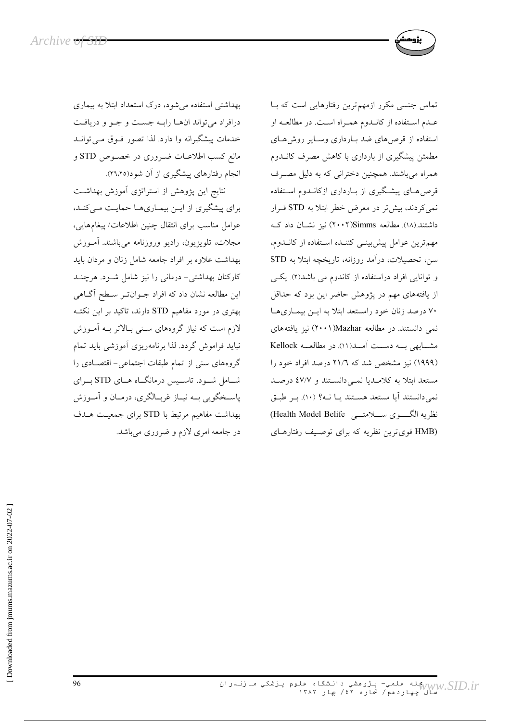تماس جنسی مکرر ازمهمترین رفتارهایی است که با عـدم اسـتفاده از كانـدوم همـراه اسـت. در مطالعـه او استفاده از قرصهای ضد بارداری وسایر روشهای مطمئن پیشگیری از بارداری با کاهش مصرف کانلدوم همراه می باشند. همچنین دخترانی که به دلیل مصـرف قرص۵حای پیشگیری از بـارداری ازکانــدوم اسـتفاده نمي كردند، بيش تر در معرض خطر ابتلا به STD قـرار داشتند.(۱۸). مطالعه Simms(۲۰۰۲) نیز نشـان داد ک مهم ترین عوامل پیش بینـی کننــده اسـتفاده از کانــدوم، سن، تحصیلات، درآمد روزانه، تاریخچه ابتلا به STD و توانایی افراد دراستفاده از کاندوم می باشد(۲). یک از یافتههای مهم در پژوهش حاضر این بود که حداقل ۷۰ درصد زنان خود رامستعد ابتلا به ایـن بیمـاریهـا نمی دانستند. در مطالعه Mazhar(۲۰۰۱) نیز یافتههای مشـــابهي بـــه دســـت آمـــد(١١). در مطالعـــه Kellock (١٩٩٩) نيز مشخص شد كه ٢١/٦ درصد افراد خود را مستعد ابتلا به كلامـديا نمـى دانسـتند و ٤٧/٧ درصـد نمی دانستند آیا مستعد هستند یا نـه؟ (١٠). بـر طبـق نظريه الگـــوي ســـلامتـــي Health Model Belife) (HMB قوی ترین نظریه که برای توصیف رفتارهای

بهداشتی استفاده می شود، درک استعداد ابتلا به بیماری درافراد مي تواند انها رابه جست و جـو و دريافت خدمات پیشگیرانه وا دارد. لذا تصور فـوق مـیتوانـد مانع كسب اطلاعـات ضـروري در خصـوص STD و انجام رفتارهای پیشگیری از آن شود(۲٦،۲۵).

نتایج این پژوهش از استراتژی آموزش بهداشت برای پیشگیری از ایـن بیمـاریهـا حمایـت مـی کنـد، عوامل مناسب براي انتقال چنين اطلاعات/ پيغامهايي، مجلات، تلویزیون، رادیو وروزنامه میباشند. آمـوزش بهداشت علاوه بر افراد جامعه شامل زنان و مردان باید کارکنان بهداشتی- درمانی را نیز شامل شـود. هرچنـد این مطالعه نشان داد که افراد جـوانتـر سـطح آگـاهي بهتری در مورد مفاهیم STD دارند، تاکید بر این نکتـه لازم است که نیاز گروههای سنبی بالاتر بـه آمـوزش نباید فراموش گردد. لذا برنامهریزی آموزشی باید تمام گروههای سنی از تمام طبقات اجتماعی- اقتصـادی را شــامل شــود. تاســیس درمانگــاه هــای STD بــرای پاسـخگويي بــه نيــاز غربــالگري، درمــان و آمــوزش بهداشت مفاهیم مرتبط با STD برای جمعیت هـدف در جامعه امری لازم و ضروری می باشد.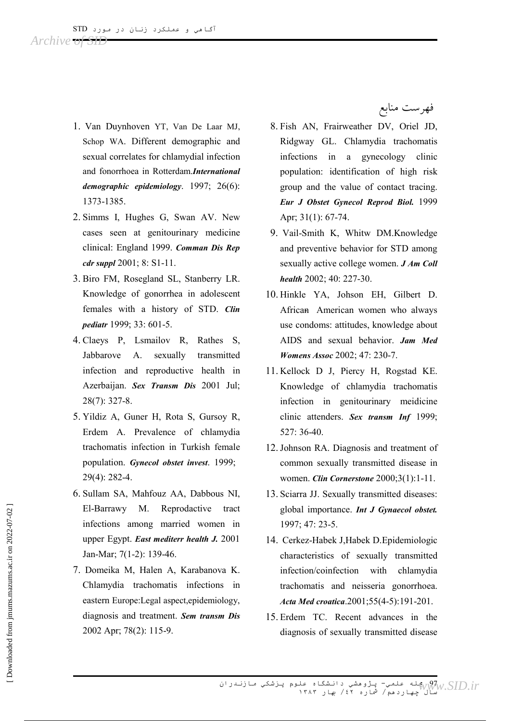- 1. Van Duynhoven YT, Van De Laar MJ, Schop WA. Different demographic and sexual correlates for chlamydial infection and fonorrhoea in Rotterdam.International demographic epidemiology.  $1997; 26(6)$ : 1373-1385.
- 2. Simms I, Hughes G, Swan AV. New cases seen at genitourinary medicine clinical: England 1999. Comman Dis Rep *cdr* suppl  $2001$ ; 8: S1-11.
- 3. Biro FM, Rosegland SL, Stanberry LR. Knowledge of gonorrhea in adolescent females with a history of STD. Clin *pediatr* 1999; 33: 601-5.
- 4. Claeys P, Lsmailov R, Rathes S, Jabbarove A. sexually transmitted infection and reproductive health in Azerbaijan. Sex Transm Dis 2001 Jul;  $28(7)$ : 327-8.
- 5. Yildiz A, Guner H, Rota S, Gursoy R, Erdem A. Prevalence of chlamydia trachomatis infection in Turkish female population. Gynecol obstet invest. 1999; 29(4): 282-4.
- 6. Sullam SA, Mahfouz AA, Dabbous NI, El-Barrawy M. Reprodactive tract infections among married women in upper Egypt. East mediterr health J. 2001 Jan-Mar; 7(1-2): 139-46.
- 7. Domeika M, Halen A, Karabanova K. Chlamydia trachomatis infections in eastern Europe: Legal aspect, epidemiology, diagnosis and treatment. Sem transm Dis 2002 Apr; 78(2): 115-9.

فهرست منابع

- 8. Fish AN, Frairweather DV, Oriel JD, Ridgway GL. Chlamydia trachomatis infections in a gynecology clinic population: identification of high risk group and the value of contact tracing. Eur J Obstet Gynecol Reprod Biol. 1999 Apr; 31(1): 67-74.
- 9. Vail-Smith K, Whitw DM.Knowledge and preventive behavior for STD among sexually active college women. J Am Coll health 2002; 40: 227-30.
- 10. Hinkle YA, Johson EH, Gilbert D. African American women who always use condoms: attitudes, knowledge about AIDS and sexual behavior. Jam Med Womens Assoc 2002; 47: 230-7.
- 11. Kellock D J, Piercy H, Rogstad KE. Knowledge of chlamydia trachomatis infection in genitourinary meidicine clinic attenders. Sex transm Inf 1999;  $527:36-40.$
- 12. Johnson RA. Diagnosis and treatment of common sexually transmitted disease in women. Clin Cornerstone 2000;3(1):1-11.
- 13. Sciarra JJ. Sexually transmitted diseases: global importance. Int J Gynaecol obstet. 1997; 47: 23-5.
- 14. Cerkez-Habek J, Habek D. Epidemiologic characteristics of sexually transmitted infection/coinfection with chlamydia trachomatis and neisseria gonorrhoea. Acta Med croatica.2001;55(4-5):191-201.
- 15. Erdem TC. Recent advances in the diagnosis of sexually transmitted disease